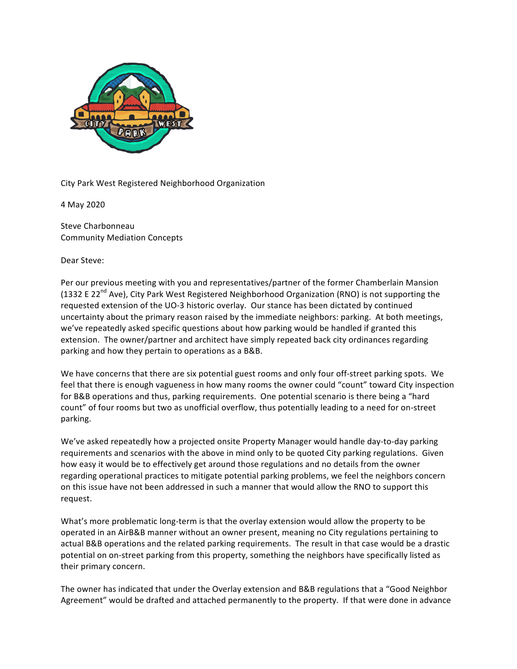

City Park West Registered Neighborhood Organization

4 May 2020

Steve Charbonneau Community Mediation Concepts

Dear Steve:

Per our previous meeting with you and representatives/partner of the former Chamberlain Mansion (1332 E 22<sup>nd</sup> Ave), City Park West Registered Neighborhood Organization (RNO) is not supporting the requested extension of the UO-3 historic overlay. Our stance has been dictated by continued uncertainty about the primary reason raised by the immediate neighbors: parking. At both meetings, we've repeatedly asked specific questions about how parking would be handled if granted this extension. The owner/partner and architect have simply repeated back city ordinances regarding parking and how they pertain to operations as a B&B.

We have concerns that there are six potential guest rooms and only four off-street parking spots. We feel that there is enough vagueness in how many rooms the owner could "count" toward City inspection for B&B operations and thus, parking requirements. One potential scenario is there being a "hard count" of four rooms but two as unofficial overflow, thus potentially leading to a need for on-street parking.

We've asked repeatedly how a projected onsite Property Manager would handle day-to-day parking requirements and scenarios with the above in mind only to be quoted City parking regulations. Given how easy it would be to effectively get around those regulations and no details from the owner regarding operational practices to mitigate potential parking problems, we feel the neighbors concern on this issue have not been addressed in such a manner that would allow the RNO to support this request. 

What's more problematic long-term is that the overlay extension would allow the property to be operated in an AirB&B manner without an owner present, meaning no City regulations pertaining to actual B&B operations and the related parking requirements. The result in that case would be a drastic potential on on-street parking from this property, something the neighbors have specifically listed as their primary concern.

The owner has indicated that under the Overlay extension and B&B regulations that a "Good Neighbor Agreement" would be drafted and attached permanently to the property. If that were done in advance